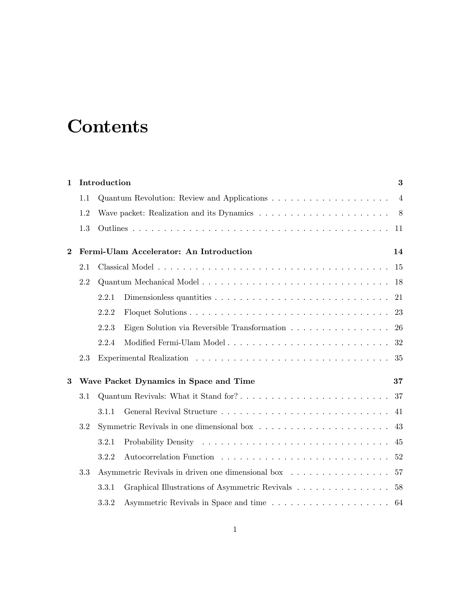## **Contents**

| $\mathbf{1}$   | Introduction<br>3                             |                                                                                             |                |  |  |  |
|----------------|-----------------------------------------------|---------------------------------------------------------------------------------------------|----------------|--|--|--|
|                | 1.1                                           |                                                                                             | $\overline{4}$ |  |  |  |
|                | 1.2                                           | Wave packet: Realization and its Dynamics $\dots \dots \dots \dots \dots \dots \dots \dots$ |                |  |  |  |
|                | 1.3                                           | 11                                                                                          |                |  |  |  |
| $\overline{2}$ | Fermi-Ulam Accelerator: An Introduction<br>14 |                                                                                             |                |  |  |  |
|                | 2.1                                           | 15                                                                                          |                |  |  |  |
|                | 2.2                                           | 18                                                                                          |                |  |  |  |
|                |                                               | 2.2.1<br>21                                                                                 |                |  |  |  |
|                |                                               | 2.2.2                                                                                       | 23             |  |  |  |
|                |                                               | 26<br>2.2.3<br>Eigen Solution via Reversible Transformation                                 |                |  |  |  |
|                |                                               | 2.2.4                                                                                       | 32             |  |  |  |
|                | 2.3                                           |                                                                                             | 35             |  |  |  |
| 3              | Wave Packet Dynamics in Space and Time<br>37  |                                                                                             |                |  |  |  |
|                | 3.1                                           | Quantum Revivals: What it Stand for?<br>37                                                  |                |  |  |  |
|                |                                               | 3.1.1<br>41                                                                                 |                |  |  |  |
|                | 3.2                                           |                                                                                             | 43             |  |  |  |
|                |                                               | 3.2.1<br>45                                                                                 |                |  |  |  |
|                |                                               | 3.2.2<br>Autocorrelation Function                                                           | 52             |  |  |  |
|                | 3.3                                           | Asymmetric Revivals in driven one dimensional box<br>57                                     |                |  |  |  |
|                |                                               | Graphical Illustrations of Asymmetric Revivals<br>3.3.1<br>58                               |                |  |  |  |
|                |                                               | 3.3.2<br>64                                                                                 |                |  |  |  |